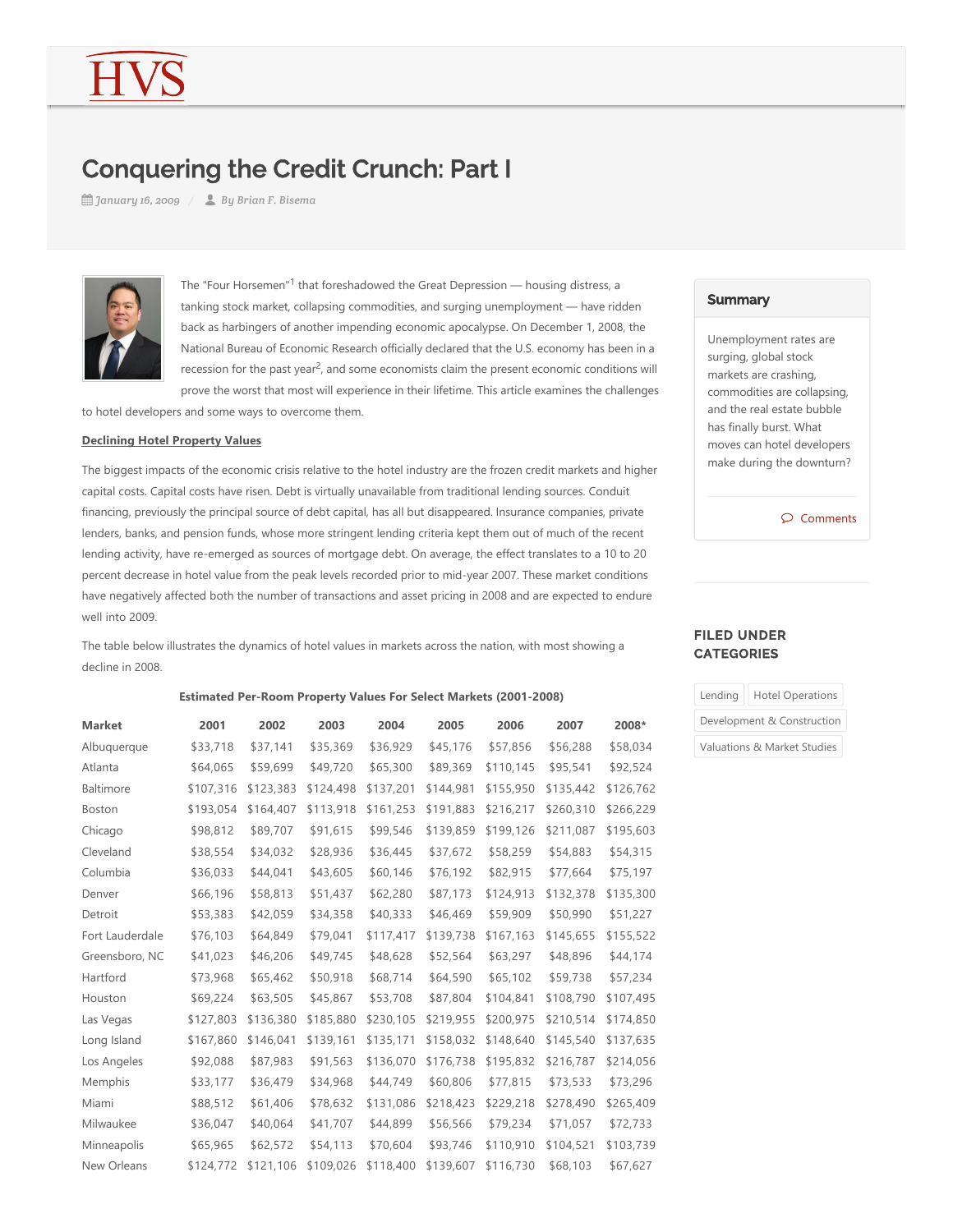# Conquering the Credit Crunch: Part I

*January 16, 2009 By Brian F. Bisema*



The "Four Horsemen"<sup>1</sup> that foreshadowed the Great Depression — housing distress, a tanking stock market, collapsing commodities, and surging unemployment — have ridden back as harbingers of another impending economic apocalypse. On December 1, 2008, the National Bureau of Economic Research officially declared that the U.S. economy has been in a recession for the past year<sup>2</sup>, and some economists claim the present economic conditions will prove the worst that most will experience in their lifetime. This article examines the challenges

to hotel developers and some ways to overcome them.

#### **Declining Hotel Property Values**

The biggest impacts of the economic crisis relative to the hotel industry are the frozen credit markets and higher capital costs. Capital costs have risen. Debt is virtually unavailable from traditional lending sources. Conduit financing, previously the principal source of debt capital, has all but disappeared. Insurance companies, private lenders, banks, and pension funds, whose more stringent lending criteria kept them out of much of the recent lending activity, have re-emerged as sources of mortgage debt. On average, the effect translates to a 10 to 20 percent decrease in hotel value from the peak levels recorded prior to mid‐year 2007. These market conditions have negatively affected both the number of transactions and asset pricing in 2008 and are expected to endure well into 2009.

The table below illustrates the dynamics of hotel values in markets across the nation, with most showing a decline in 2008.

# **Estimated Per-Room Property Values For Select Markets (2001-2008)**

| <b>Market</b>   | 2001      | 2002      | 2003      | 2004      | 2005      | 2006      | 2007      | 2008*     |
|-----------------|-----------|-----------|-----------|-----------|-----------|-----------|-----------|-----------|
| Albuquerque     | \$33,718  | \$37,141  | \$35,369  | \$36,929  | \$45,176  | \$57,856  | \$56,288  | \$58,034  |
| Atlanta         | \$64,065  | \$59,699  | \$49,720  | \$65,300  | \$89,369  | \$110,145 | \$95,541  | \$92,524  |
| Baltimore       | \$107,316 | \$123,383 | \$124,498 | \$137,201 | \$144,981 | \$155,950 | \$135,442 | \$126,762 |
| Boston          | \$193,054 | \$164,407 | \$113,918 | \$161,253 | \$191,883 | \$216,217 | \$260,310 | \$266,229 |
| Chicago         | \$98,812  | \$89,707  | \$91,615  | \$99,546  | \$139,859 | \$199,126 | \$211,087 | \$195,603 |
| Cleveland       | \$38,554  | \$34,032  | \$28,936  | \$36,445  | \$37,672  | \$58,259  | \$54,883  | \$54,315  |
| Columbia        | \$36,033  | \$44,041  | \$43,605  | \$60,146  | \$76,192  | \$82,915  | \$77,664  | \$75,197  |
| Denver          | \$66,196  | \$58,813  | \$51,437  | \$62,280  | \$87,173  | \$124,913 | \$132,378 | \$135,300 |
| Detroit         | \$53,383  | \$42,059  | \$34,358  | \$40,333  | \$46,469  | \$59,909  | \$50,990  | \$51,227  |
| Fort Lauderdale | \$76,103  | \$64,849  | \$79,041  | \$117,417 | \$139,738 | \$167,163 | \$145,655 | \$155,522 |
| Greensboro, NC  | \$41,023  | \$46,206  | \$49,745  | \$48,628  | \$52,564  | \$63,297  | \$48,896  | \$44,174  |
| Hartford        | \$73,968  | \$65,462  | \$50,918  | \$68,714  | \$64,590  | \$65,102  | \$59,738  | \$57,234  |
| Houston         | \$69,224  | \$63,505  | \$45,867  | \$53,708  | \$87,804  | \$104,841 | \$108,790 | \$107,495 |
| Las Vegas       | \$127,803 | \$136,380 | \$185,880 | \$230,105 | \$219,955 | \$200,975 | \$210,514 | \$174,850 |
| Long Island     | \$167,860 | \$146,041 | \$139,161 | \$135,171 | \$158,032 | \$148,640 | \$145,540 | \$137,635 |
| Los Angeles     | \$92,088  | \$87,983  | \$91,563  | \$136,070 | \$176,738 | \$195,832 | \$216,787 | \$214,056 |
| Memphis         | \$33,177  | \$36,479  | \$34,968  | \$44,749  | \$60,806  | \$77,815  | \$73,533  | \$73,296  |
| Miami           | \$88,512  | \$61,406  | \$78,632  | \$131,086 | \$218,423 | \$229,218 | \$278,490 | \$265,409 |
| Milwaukee       | \$36,047  | \$40,064  | \$41,707  | \$44,899  | \$56,566  | \$79,234  | \$71,057  | \$72,733  |
| Minneapolis     | \$65,965  | \$62,572  | \$54,113  | \$70,604  | \$93,746  | \$110,910 | \$104,521 | \$103,739 |
| New Orleans     | \$124,772 | \$121,106 | \$109,026 | \$118,400 | \$139,607 | \$116,730 | \$68,103  | \$67,627  |

#### **Summary**

Unemployment rates are surging, global stock markets are crashing, commodities are collapsing, and the real estate bubble has finally burst. What moves can hotel developers make during the downturn?

Comments

# FILED UNDER **CATEGORIES**

| Lending                    | <b>Hotel Operations</b>     |  |  |  |  |
|----------------------------|-----------------------------|--|--|--|--|
| Development & Construction |                             |  |  |  |  |
|                            | Valuations & Market Studies |  |  |  |  |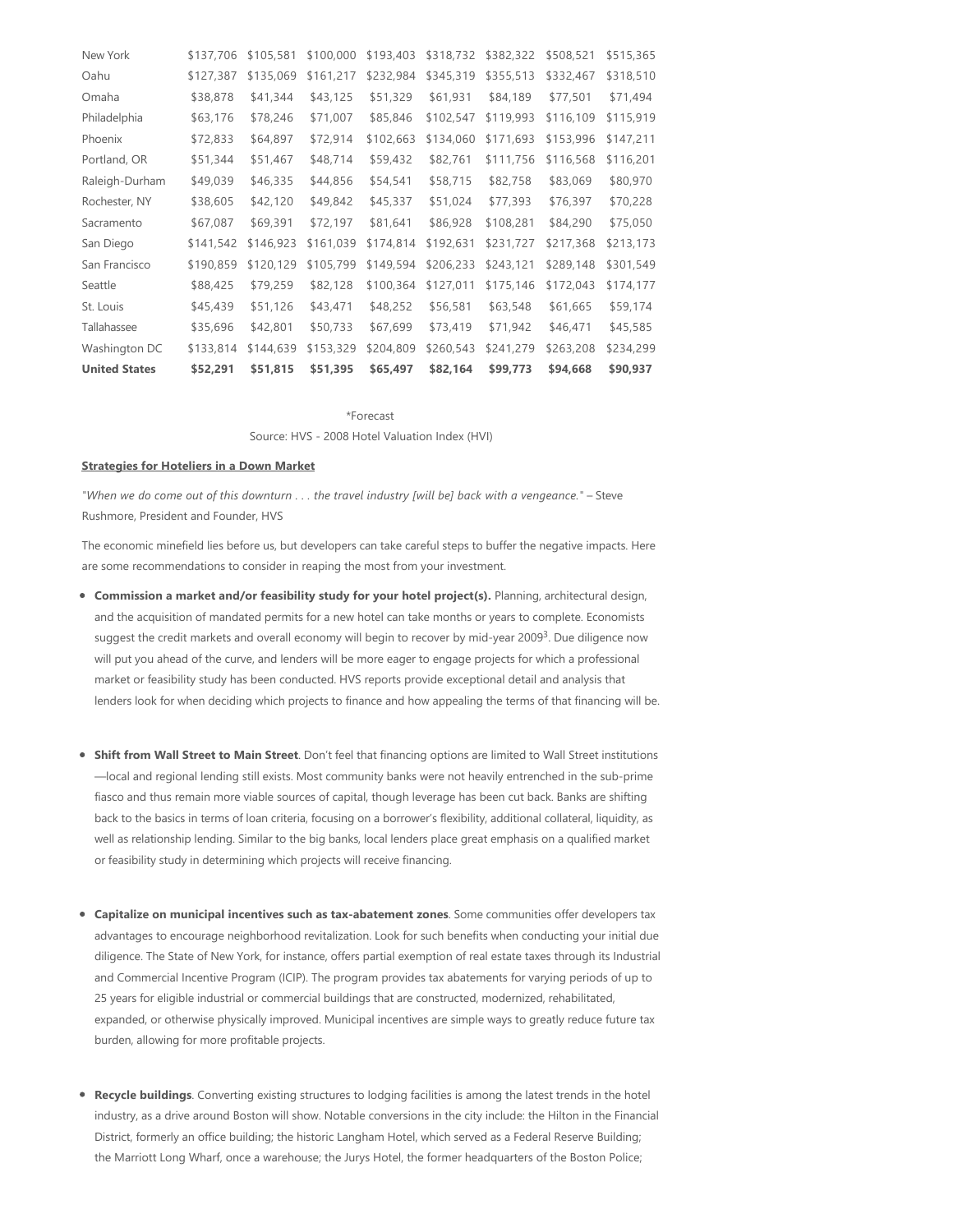| New York             | \$137,706 | \$105,581 | \$100,000 | \$193,403 | \$318,732 | \$382,322 | \$508,521 | \$515,365 |
|----------------------|-----------|-----------|-----------|-----------|-----------|-----------|-----------|-----------|
| Oahu                 | \$127,387 | \$135,069 | \$161,217 | \$232,984 | \$345,319 | \$355,513 | \$332,467 | \$318,510 |
| Omaha                | \$38,878  | \$41,344  | \$43,125  | \$51,329  | \$61,931  | \$84,189  | \$77,501  | \$71,494  |
| Philadelphia         | \$63,176  | \$78,246  | \$71,007  | \$85,846  | \$102,547 | \$119,993 | \$116,109 | \$115,919 |
| Phoenix              | \$72,833  | \$64,897  | \$72,914  | \$102,663 | \$134,060 | \$171,693 | \$153,996 | \$147,211 |
| Portland, OR         | \$51,344  | \$51,467  | \$48,714  | \$59,432  | \$82,761  | \$111,756 | \$116,568 | \$116,201 |
| Raleigh-Durham       | \$49,039  | \$46,335  | \$44,856  | \$54,541  | \$58,715  | \$82,758  | \$83,069  | \$80,970  |
| Rochester, NY        | \$38,605  | \$42,120  | \$49,842  | \$45,337  | \$51,024  | \$77,393  | \$76,397  | \$70,228  |
| Sacramento           | \$67,087  | \$69,391  | \$72,197  | \$81,641  | \$86,928  | \$108,281 | \$84,290  | \$75,050  |
| San Diego            | \$141,542 | \$146,923 | \$161,039 | \$174,814 | \$192,631 | \$231,727 | \$217,368 | \$213,173 |
| San Francisco        | \$190,859 | \$120,129 | \$105,799 | \$149,594 | \$206,233 | \$243,121 | \$289,148 | \$301,549 |
| Seattle              | \$88,425  | \$79,259  | \$82,128  | \$100,364 | \$127,011 | \$175,146 | \$172,043 | \$174,177 |
| St. Louis            | \$45,439  | \$51,126  | \$43,471  | \$48,252  | \$56,581  | \$63,548  | \$61,665  | \$59,174  |
| Tallahassee          | \$35,696  | \$42,801  | \$50,733  | \$67,699  | \$73,419  | \$71,942  | \$46,471  | \$45,585  |
| Washington DC        | \$133,814 | \$144,639 | \$153,329 | \$204,809 | \$260,543 | \$241,279 | \$263,208 | \$234,299 |
| <b>United States</b> | \$52,291  | \$51,815  | \$51,395  | \$65,497  | \$82,164  | \$99,773  | \$94,668  | \$90,937  |

\*Forecast

Source: HVS - 2008 Hotel Valuation Index (HVI)

# **Strategies for Hoteliers in a Down Market**

"When we do come out of this downturn . . . the travel industry [will be] back with a vengeance." - Steve Rushmore, President and Founder, HVS

The economic minefield lies before us, but developers can take careful steps to buffer the negative impacts. Here are some recommendations to consider in reaping the most from your investment.

- **Commission a market and/or feasibility study for your hotel project(s).** Planning, architectural design, and the acquisition of mandated permits for a new hotel can take months or years to complete. Economists suggest the credit markets and overall economy will begin to recover by mid-year 2009<sup>3</sup>. Due diligence now will put you ahead of the curve, and lenders will be more eager to engage projects for which a professional market or feasibility study has been conducted. HVS reports provide exceptional detail and analysis that lenders look for when deciding which projects to finance and how appealing the terms of that financing will be.
- **Shift from Wall Street to Main Street**. Don't feel that financing options are limited to Wall Street institutions —local and regional lending still exists. Most community banks were not heavily entrenched in the sub‐prime fiasco and thus remain more viable sources of capital, though leverage has been cut back. Banks are shifting back to the basics in terms of loan criteria, focusing on a borrower's flexibility, additional collateral, liquidity, as well as relationship lending. Similar to the big banks, local lenders place great emphasis on a qualified market or feasibility study in determining which projects will receive financing.
- **Capitalize on municipal incentives such as tax‐abatement zones**. Some communities offer developers tax advantages to encourage neighborhood revitalization. Look for such benefits when conducting your initial due diligence. The State of New York, for instance, offers partial exemption of real estate taxes through its Industrial and Commercial Incentive Program (ICIP). The program provides tax abatements for varying periods of up to 25 years for eligible industrial or commercial buildings that are constructed, modernized, rehabilitated, expanded, or otherwise physically improved. Municipal incentives are simple ways to greatly reduce future tax burden, allowing for more profitable projects.
- **Recycle buildings**. Converting existing structures to lodging facilities is among the latest trends in the hotel industry, as a drive around Boston will show. Notable conversions in the city include: the Hilton in the Financial District, formerly an office building; the historic Langham Hotel, which served as a Federal Reserve Building; the Marriott Long Wharf, once a warehouse; the Jurys Hotel, the former headquarters of the Boston Police;